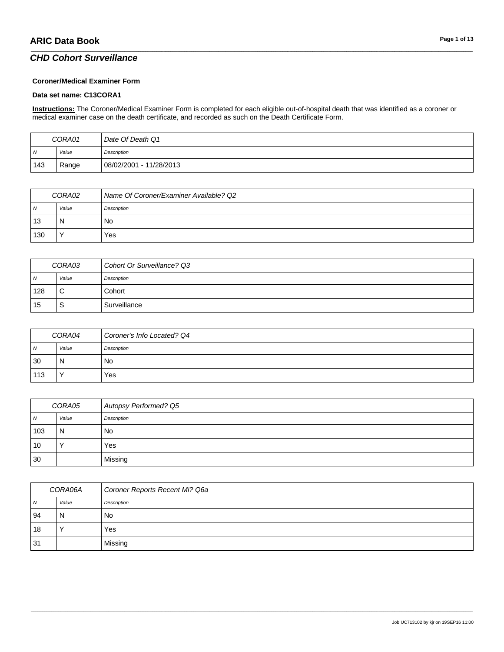#### **Coroner/Medical Examiner Form**

#### **Data set name: C13CORA1**

**Instructions:** The Coroner/Medical Examiner Form is completed for each eligible out-of-hospital death that was identified as a coroner or medical examiner case on the death certificate, and recorded as such on the Death Certificate Form.

\_\_\_\_\_\_\_\_\_\_\_\_\_\_\_\_\_\_\_\_\_\_\_\_\_\_\_\_\_\_\_\_\_\_\_\_\_\_\_\_\_\_\_\_\_\_\_\_\_\_\_\_\_\_\_\_\_\_\_\_\_\_\_\_\_\_\_\_\_\_\_\_\_\_\_\_\_\_\_\_\_\_\_\_\_\_\_\_\_\_\_\_\_\_\_\_\_\_\_\_\_\_\_\_\_\_\_\_\_\_\_\_\_\_\_\_\_\_\_\_\_\_\_\_\_\_\_\_\_\_\_\_\_\_\_\_\_\_\_\_\_\_\_\_\_\_\_\_\_\_\_\_\_\_\_\_\_\_\_\_\_\_\_\_\_\_\_\_\_\_\_\_\_\_\_\_\_\_\_\_\_\_\_\_\_\_\_\_\_\_\_\_\_

| CORA01 |       | Date Of Death Q1        |
|--------|-------|-------------------------|
| . N    | Value | Description             |
| 143    | Range | 08/02/2001 - 11/28/2013 |

| CORA02         |       | Name Of Coroner/Examiner Available? Q2 |
|----------------|-------|----------------------------------------|
| N <sub>N</sub> | Value | Description                            |
| 13             | N     | No                                     |
| 130            |       | Yes                                    |

| CORA03 |             | Cohort Or Surveillance? Q3 |
|--------|-------------|----------------------------|
| ı N    | Value       | Description                |
| 128    | $\sim$<br>◡ | Cohort                     |
| 15     | S           | Surveillance               |

| CORA04         |       | Coroner's Info Located? Q4 |
|----------------|-------|----------------------------|
| $\overline{N}$ | Value | Description                |
| 30             | N     | No                         |
| 113            |       | Yes                        |

| CORA05         |       | Autopsy Performed? Q5 |
|----------------|-------|-----------------------|
| $\overline{N}$ | Value | Description           |
| 103            | 'N    | No                    |
| 10             |       | Yes                   |
| 30             |       | Missing               |

| CORA06A |       | Coroner Reports Recent Mi? Q6a |
|---------|-------|--------------------------------|
| N       | Value | Description                    |
| 94      | N     | No                             |
| 18      |       | Yes                            |
| 31      |       | Missing                        |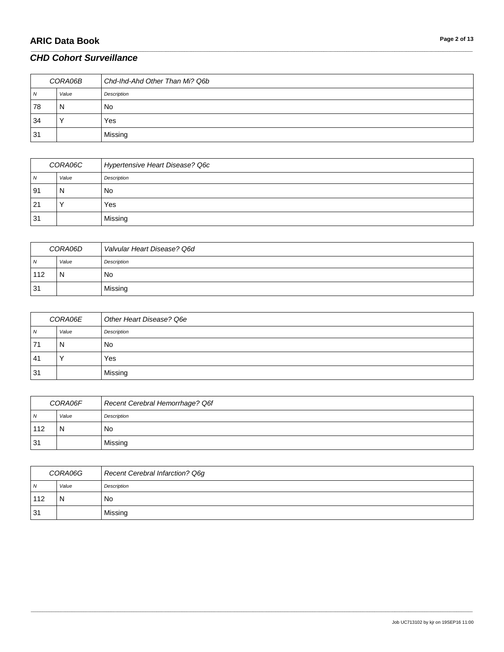| CORA06B      |       | Chd-Ihd-Ahd Other Than Mi? Q6b |
|--------------|-------|--------------------------------|
| $\mathbf{v}$ | Value | Description                    |
| 78           | N     | No                             |
| 34           |       | Yes                            |
| 31           |       | Missing                        |

\_\_\_\_\_\_\_\_\_\_\_\_\_\_\_\_\_\_\_\_\_\_\_\_\_\_\_\_\_\_\_\_\_\_\_\_\_\_\_\_\_\_\_\_\_\_\_\_\_\_\_\_\_\_\_\_\_\_\_\_\_\_\_\_\_\_\_\_\_\_\_\_\_\_\_\_\_\_\_\_\_\_\_\_\_\_\_\_\_\_\_\_\_\_\_\_\_\_\_\_\_\_\_\_\_\_\_\_\_\_\_\_\_\_\_\_\_\_\_\_\_\_\_\_\_\_\_\_\_\_\_\_\_\_\_\_\_\_\_\_\_\_\_\_\_\_\_\_\_\_\_\_\_\_\_\_\_\_\_\_\_\_\_\_\_\_\_\_\_\_\_\_\_\_\_\_\_\_\_\_\_\_\_\_\_\_\_\_\_\_\_\_\_

| CORA06C      |       | Hypertensive Heart Disease? Q6c |
|--------------|-------|---------------------------------|
| $\mathbf{v}$ | Value | Description                     |
| -91          | N     | No                              |
| 21           |       | Yes                             |
| 31           |       | Missing                         |

| CORA06D        |       | Valvular Heart Disease? Q6d |
|----------------|-------|-----------------------------|
| $\overline{N}$ | Value | Description                 |
| 112            | N     | No                          |
| 31             |       | Missing                     |

| CORA06E |       | Other Heart Disease? Q6e |
|---------|-------|--------------------------|
| N       | Value | Description              |
| 71      | N     | No.                      |
| 41      |       | Yes                      |
| 31      |       | Missing                  |

| CORA06F        |       | Recent Cerebral Hemorrhage? Q6f |
|----------------|-------|---------------------------------|
| $\overline{N}$ | Value | Description                     |
| 112            | N     | No                              |
| 31             |       | Missing                         |

| CORA06G    |       | Recent Cerebral Infarction? Q6g |
|------------|-------|---------------------------------|
| $\sqrt{N}$ | Value | Description                     |
| 112        | N     | No                              |
| 31         |       | Missing                         |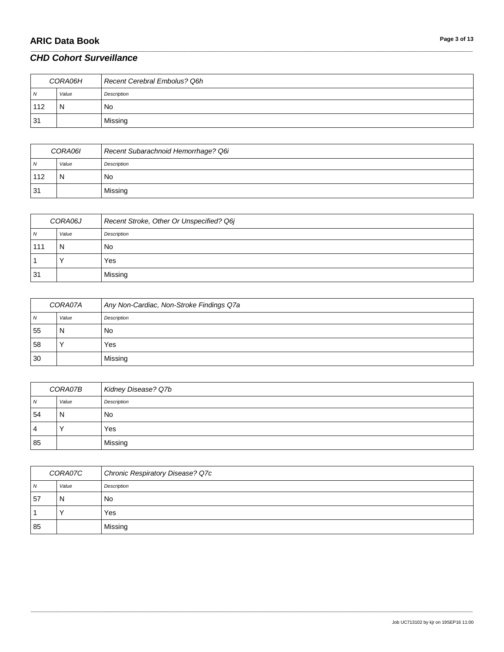# **ARIC Data Book Page 3 of 13**

### *CHD Cohort Surveillance*

| CORA06H |       | Recent Cerebral Embolus? Q6h |
|---------|-------|------------------------------|
| 7V      | Value | Description                  |
| 112     | N     | <b>No</b>                    |
| 31      |       | Missing                      |

\_\_\_\_\_\_\_\_\_\_\_\_\_\_\_\_\_\_\_\_\_\_\_\_\_\_\_\_\_\_\_\_\_\_\_\_\_\_\_\_\_\_\_\_\_\_\_\_\_\_\_\_\_\_\_\_\_\_\_\_\_\_\_\_\_\_\_\_\_\_\_\_\_\_\_\_\_\_\_\_\_\_\_\_\_\_\_\_\_\_\_\_\_\_\_\_\_\_\_\_\_\_\_\_\_\_\_\_\_\_\_\_\_\_\_\_\_\_\_\_\_\_\_\_\_\_\_\_\_\_\_\_\_\_\_\_\_\_\_\_\_\_\_\_\_\_\_\_\_\_\_\_\_\_\_\_\_\_\_\_\_\_\_\_\_\_\_\_\_\_\_\_\_\_\_\_\_\_\_\_\_\_\_\_\_\_\_\_\_\_\_\_\_

| CORA06I |       | Recent Subarachnoid Hemorrhage? Q6i |
|---------|-------|-------------------------------------|
| N       | Value | Description                         |
| 112     | N     | No                                  |
| 31      |       | Missing                             |

| CORA06J        |       | Recent Stroke, Other Or Unspecified? Q6j |
|----------------|-------|------------------------------------------|
| $\overline{N}$ | Value | Description                              |
| 111            | N     | No                                       |
|                |       | Yes                                      |
| 31             |       | Missing                                  |

| CORA07A        |       | Any Non-Cardiac, Non-Stroke Findings Q7a |
|----------------|-------|------------------------------------------|
| $\overline{N}$ | Value | Description                              |
| 55             | N     | No                                       |
| 58             |       | Yes                                      |
| 30             |       | Missing                                  |

| CORA07B |       | Kidney Disease? Q7b |
|---------|-------|---------------------|
| N       | Value | Description         |
| 54      | N     | No                  |
| 4       |       | Yes                 |
| 85      |       | Missing             |

| CORA07C |       | <b>Chronic Respiratory Disease? Q7c</b> |
|---------|-------|-----------------------------------------|
| N       | Value | Description                             |
| .57     | N     | No                                      |
|         |       | Yes                                     |
| 85      |       | Missing                                 |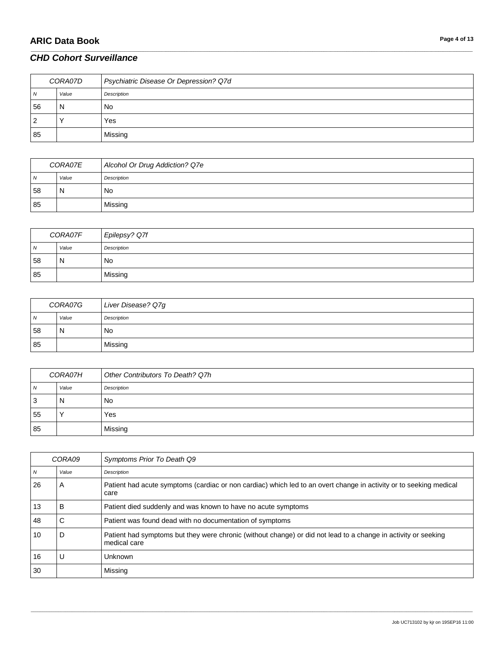# **ARIC Data Book Page 4 of 13**

### *CHD Cohort Surveillance*

| CORA07D |       | Psychiatric Disease Or Depression? Q7d |
|---------|-------|----------------------------------------|
| N       | Value | Description                            |
| 56      | N     | No                                     |
| 2       |       | Yes                                    |
| 85      |       | Missing                                |

\_\_\_\_\_\_\_\_\_\_\_\_\_\_\_\_\_\_\_\_\_\_\_\_\_\_\_\_\_\_\_\_\_\_\_\_\_\_\_\_\_\_\_\_\_\_\_\_\_\_\_\_\_\_\_\_\_\_\_\_\_\_\_\_\_\_\_\_\_\_\_\_\_\_\_\_\_\_\_\_\_\_\_\_\_\_\_\_\_\_\_\_\_\_\_\_\_\_\_\_\_\_\_\_\_\_\_\_\_\_\_\_\_\_\_\_\_\_\_\_\_\_\_\_\_\_\_\_\_\_\_\_\_\_\_\_\_\_\_\_\_\_\_\_\_\_\_\_\_\_\_\_\_\_\_\_\_\_\_\_\_\_\_\_\_\_\_\_\_\_\_\_\_\_\_\_\_\_\_\_\_\_\_\_\_\_\_\_\_\_\_\_\_

| <i>CORA07E</i> |       | Alcohol Or Drug Addiction? Q7e |
|----------------|-------|--------------------------------|
| <b>N</b>       | Value | Description                    |
| 58             | N     | No                             |
| 85             |       | Missing                        |

| CORA07F        |       | Epilepsy? Q7f |
|----------------|-------|---------------|
| $\overline{N}$ | Value | Description   |
| 58             | N     | No            |
| 85             |       | Missing       |

| CORA07G        |       | Liver Disease? Q7g |
|----------------|-------|--------------------|
| $\overline{N}$ | Value | Description        |
| 58             | N     | No                 |
| 85             |       | Missing            |

| CORA07H |       | Other Contributors To Death? Q7h |
|---------|-------|----------------------------------|
| N       | Value | Description                      |
| -3      | N     | No                               |
| 55      |       | Yes                              |
| 85      |       | Missing                          |

| CORA09 |       | Symptoms Prior To Death Q9                                                                                                     |
|--------|-------|--------------------------------------------------------------------------------------------------------------------------------|
| N      | Value | Description                                                                                                                    |
| 26     | A     | Patient had acute symptoms (cardiac or non cardiac) which led to an overt change in activity or to seeking medical<br>care     |
| 13     | в     | Patient died suddenly and was known to have no acute symptoms                                                                  |
| 48     | С     | Patient was found dead with no documentation of symptoms                                                                       |
| 10     | D     | Patient had symptoms but they were chronic (without change) or did not lead to a change in activity or seeking<br>medical care |
| 16     |       | <b>Unknown</b>                                                                                                                 |
| 30     |       | Missing                                                                                                                        |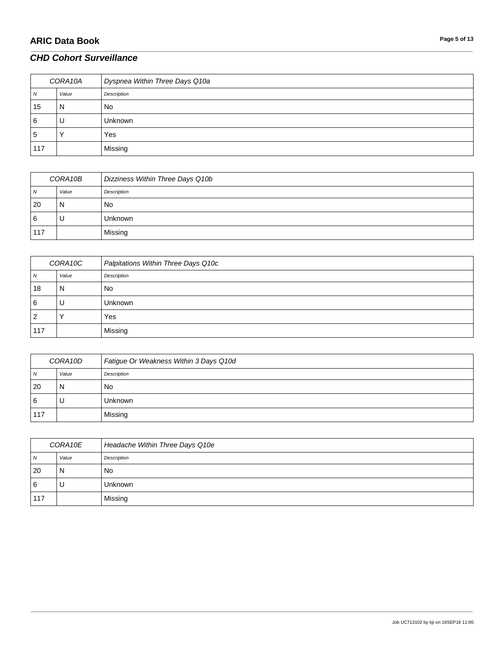# **ARIC Data Book Page 5 of 13**

### *CHD Cohort Surveillance*

| CORA10A |       | Dyspnea Within Three Days Q10a |
|---------|-------|--------------------------------|
| N       | Value | Description                    |
| 15      | N     | No.                            |
| 6       | U     | <b>Unknown</b>                 |
| 5       |       | Yes                            |
| 117     |       | Missing                        |

\_\_\_\_\_\_\_\_\_\_\_\_\_\_\_\_\_\_\_\_\_\_\_\_\_\_\_\_\_\_\_\_\_\_\_\_\_\_\_\_\_\_\_\_\_\_\_\_\_\_\_\_\_\_\_\_\_\_\_\_\_\_\_\_\_\_\_\_\_\_\_\_\_\_\_\_\_\_\_\_\_\_\_\_\_\_\_\_\_\_\_\_\_\_\_\_\_\_\_\_\_\_\_\_\_\_\_\_\_\_\_\_\_\_\_\_\_\_\_\_\_\_\_\_\_\_\_\_\_\_\_\_\_\_\_\_\_\_\_\_\_\_\_\_\_\_\_\_\_\_\_\_\_\_\_\_\_\_\_\_\_\_\_\_\_\_\_\_\_\_\_\_\_\_\_\_\_\_\_\_\_\_\_\_\_\_\_\_\_\_\_\_\_

| CORA10B  |       | Dizziness Within Three Days Q10b |
|----------|-------|----------------------------------|
| N        | Value | Description                      |
| 20       | N     | No                               |
| <b>6</b> | υ     | <b>Unknown</b>                   |
| 117      |       | Missing                          |

| CORA10C  |       | Palpitations Within Three Days Q10c |
|----------|-------|-------------------------------------|
| <b>N</b> | Value | Description                         |
| 18       | N     | No                                  |
| 6        | υ     | Unknown                             |
| 2        |       | Yes                                 |
| 117      |       | Missing                             |

| CORA10D |       | Fatigue Or Weakness Within 3 Days Q10d |
|---------|-------|----------------------------------------|
| N       | Value | Description                            |
| 20      | N     | No                                     |
| 6       | U     | <b>Unknown</b>                         |
| 117     |       | Missing                                |

| CORA10E  |       | Headache Within Three Days Q10e |
|----------|-------|---------------------------------|
| N        | Value | Description                     |
| 20       | N     | No                              |
| <b>6</b> | υ     | <b>Unknown</b>                  |
| 117      |       | Missing                         |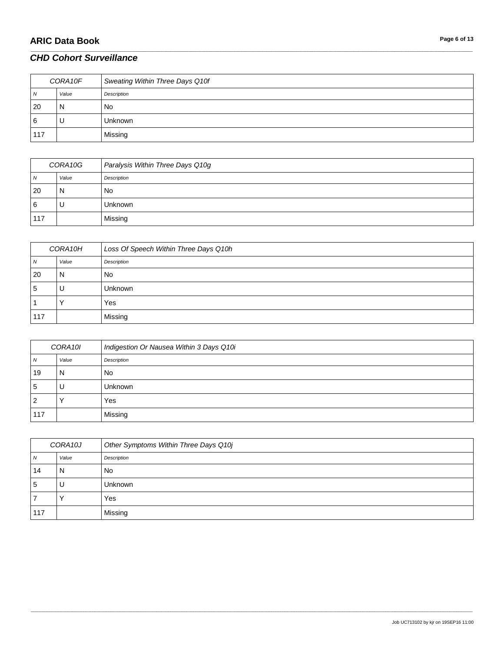# **ARIC Data Book Page 6 of 13**

### *CHD Cohort Surveillance*

| CORA10F        |       | Sweating Within Three Days Q10f |
|----------------|-------|---------------------------------|
| $\overline{N}$ | Value | Description                     |
| 20             | N     | No.                             |
| <b>6</b>       |       | <b>Unknown</b>                  |
| 117            |       | Missing                         |

\_\_\_\_\_\_\_\_\_\_\_\_\_\_\_\_\_\_\_\_\_\_\_\_\_\_\_\_\_\_\_\_\_\_\_\_\_\_\_\_\_\_\_\_\_\_\_\_\_\_\_\_\_\_\_\_\_\_\_\_\_\_\_\_\_\_\_\_\_\_\_\_\_\_\_\_\_\_\_\_\_\_\_\_\_\_\_\_\_\_\_\_\_\_\_\_\_\_\_\_\_\_\_\_\_\_\_\_\_\_\_\_\_\_\_\_\_\_\_\_\_\_\_\_\_\_\_\_\_\_\_\_\_\_\_\_\_\_\_\_\_\_\_\_\_\_\_\_\_\_\_\_\_\_\_\_\_\_\_\_\_\_\_\_\_\_\_\_\_\_\_\_\_\_\_\_\_\_\_\_\_\_\_\_\_\_\_\_\_\_\_\_\_

| CORA10G |       | Paralysis Within Three Days Q10g |
|---------|-------|----------------------------------|
| N       | Value | Description                      |
| 20      | N     | No                               |
| 6       | υ     | <b>Unknown</b>                   |
| 117     |       | Missing                          |

| CORA10H |       | Loss Of Speech Within Three Days Q10h |
|---------|-------|---------------------------------------|
| N       | Value | Description                           |
| 20      | N     | No                                    |
| 5       | υ     | <b>Unknown</b>                        |
|         |       | Yes                                   |
| 117     |       | Missing                               |

| CORA10I |       | Indigestion Or Nausea Within 3 Days Q10i |
|---------|-------|------------------------------------------|
| N       | Value | Description                              |
| 19      | N     | <b>No</b>                                |
| 5       | U     | <b>Unknown</b>                           |
| 2       |       | Yes                                      |
| 117     |       | Missing                                  |

| CORA10J |       | Other Symptoms Within Three Days Q10j |
|---------|-------|---------------------------------------|
| N       | Value | Description                           |
| 14      | N     | No                                    |
| 5       | U     | <b>Unknown</b>                        |
|         |       | Yes                                   |
| 117     |       | Missing                               |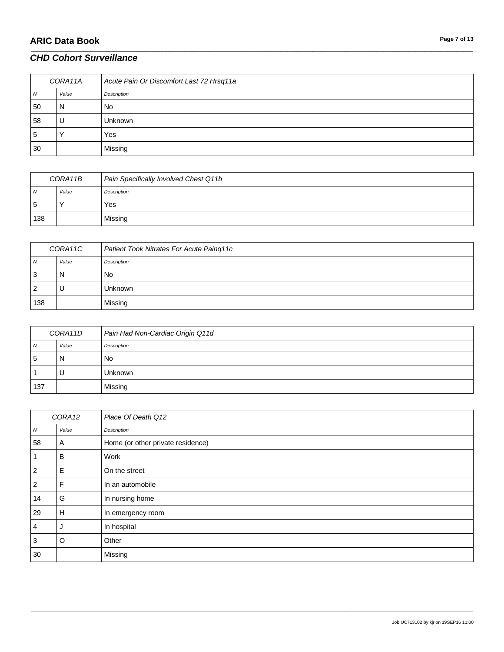# **ARIC Data Book Page 7 of 13**

#### *CHD Cohort Surveillance*

| CORA11A |       | Acute Pain Or Discomfort Last 72 Hrsq11a |
|---------|-------|------------------------------------------|
| N       | Value | Description                              |
| 50      | N     | <b>No</b>                                |
| 58      | U     | <b>Unknown</b>                           |
| 5       |       | Yes                                      |
| 30      |       | Missing                                  |

\_\_\_\_\_\_\_\_\_\_\_\_\_\_\_\_\_\_\_\_\_\_\_\_\_\_\_\_\_\_\_\_\_\_\_\_\_\_\_\_\_\_\_\_\_\_\_\_\_\_\_\_\_\_\_\_\_\_\_\_\_\_\_\_\_\_\_\_\_\_\_\_\_\_\_\_\_\_\_\_\_\_\_\_\_\_\_\_\_\_\_\_\_\_\_\_\_\_\_\_\_\_\_\_\_\_\_\_\_\_\_\_\_\_\_\_\_\_\_\_\_\_\_\_\_\_\_\_\_\_\_\_\_\_\_\_\_\_\_\_\_\_\_\_\_\_\_\_\_\_\_\_\_\_\_\_\_\_\_\_\_\_\_\_\_\_\_\_\_\_\_\_\_\_\_\_\_\_\_\_\_\_\_\_\_\_\_\_\_\_\_\_\_

| CORA11B        |       | Pain Specifically Involved Chest Q11b |
|----------------|-------|---------------------------------------|
| $\overline{N}$ | Value | Description                           |
| -5             |       | Yes                                   |
| 138            |       | Missing                               |

| CORA11C  |       | Patient Took Nitrates For Acute Paing11c |
|----------|-------|------------------------------------------|
| <b>N</b> | Value | Description                              |
| ت        | N     | No                                       |
|          | U     | <b>Unknown</b>                           |
| 138      |       | Missing                                  |

| CORA11D |       | Pain Had Non-Cardiac Origin Q11d |
|---------|-------|----------------------------------|
| N       | Value | Description                      |
| 5       | N     | No                               |
|         | υ     | <b>Unknown</b>                   |
| 137     |       | Missing                          |

| CORA12         |       | Place Of Death Q12                |
|----------------|-------|-----------------------------------|
| Ν              | Value | Description                       |
| 58             | A     | Home (or other private residence) |
|                | B     | Work                              |
| $\overline{2}$ | E     | On the street                     |
| $\overline{2}$ | F     | In an automobile                  |
| 14             | G     | In nursing home                   |
| 29             | H     | In emergency room                 |
| 4              | J     | In hospital                       |
| 3              | O     | Other                             |
| 30             |       | Missing                           |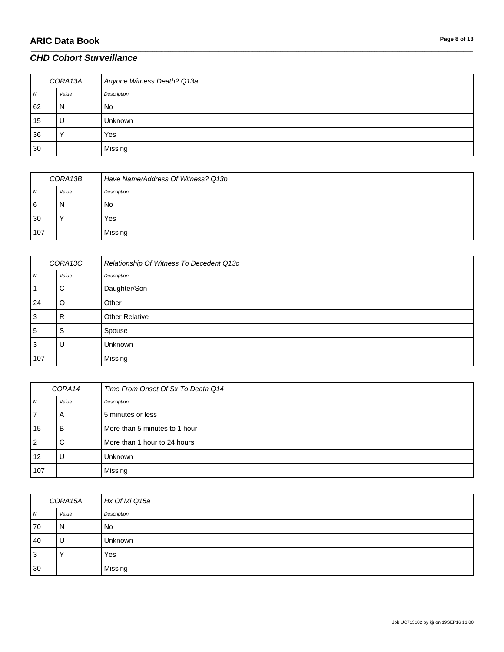# **ARIC Data Book Page 8 of 13**

### *CHD Cohort Surveillance*

| CORA13A |       | Anyone Witness Death? Q13a |
|---------|-------|----------------------------|
| N       | Value | Description                |
| 62      | N     | <b>No</b>                  |
| 15      | U     | <b>Unknown</b>             |
| 36      |       | Yes                        |
| 30      |       | Missing                    |

\_\_\_\_\_\_\_\_\_\_\_\_\_\_\_\_\_\_\_\_\_\_\_\_\_\_\_\_\_\_\_\_\_\_\_\_\_\_\_\_\_\_\_\_\_\_\_\_\_\_\_\_\_\_\_\_\_\_\_\_\_\_\_\_\_\_\_\_\_\_\_\_\_\_\_\_\_\_\_\_\_\_\_\_\_\_\_\_\_\_\_\_\_\_\_\_\_\_\_\_\_\_\_\_\_\_\_\_\_\_\_\_\_\_\_\_\_\_\_\_\_\_\_\_\_\_\_\_\_\_\_\_\_\_\_\_\_\_\_\_\_\_\_\_\_\_\_\_\_\_\_\_\_\_\_\_\_\_\_\_\_\_\_\_\_\_\_\_\_\_\_\_\_\_\_\_\_\_\_\_\_\_\_\_\_\_\_\_\_\_\_\_\_

| CORA13B  |       | Have Name/Address Of Witness? Q13b |
|----------|-------|------------------------------------|
| <b>N</b> | Value | Description                        |
| 6        | N     | No                                 |
| 30       |       | Yes                                |
| 107      |       | Missing                            |

| CORA13C |       | Relationship Of Witness To Decedent Q13c |
|---------|-------|------------------------------------------|
| N       | Value | Description                              |
|         | С     | Daughter/Son                             |
| 24      | O     | Other                                    |
| 3       | R     | <b>Other Relative</b>                    |
| 5       | S     | Spouse                                   |
| 3       | U     | Unknown                                  |
| 107     |       | Missing                                  |

| CORA14 |       | Time From Onset Of Sx To Death Q14 |
|--------|-------|------------------------------------|
| N      | Value | Description                        |
|        | A     | 5 minutes or less                  |
| 15     | B     | More than 5 minutes to 1 hour      |
| 2      | C     | More than 1 hour to 24 hours       |
| 12     | U     | Unknown                            |
| 107    |       | Missing                            |

| CORA15A  |           | Hx Of Mi Q15a |
|----------|-----------|---------------|
| <b>N</b> | Value     | Description   |
| 70       | N         | No            |
| 40       | U         | Unknown       |
| 3        | $\sqrt{}$ | Yes           |
| 30       |           | Missing       |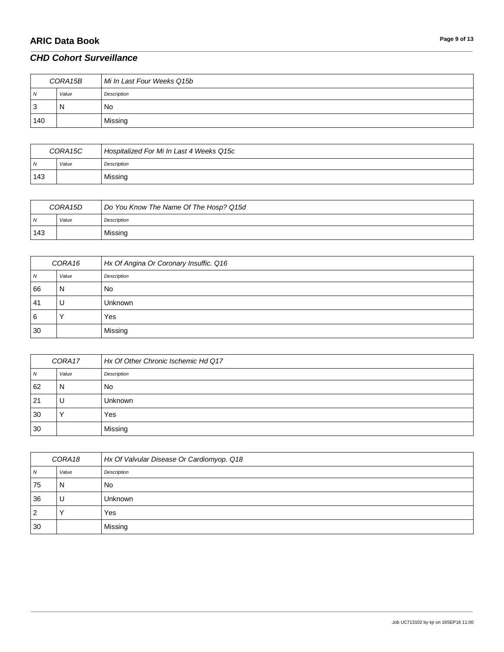# **ARIC Data Book Page 9 of 13**

### *CHD Cohort Surveillance*

| CORA15B        |          | Mi In Last Four Weeks Q15b |
|----------------|----------|----------------------------|
| $\overline{N}$ | Value    | Description                |
| 3              | <b>N</b> | No                         |
| 140            |          | Missing                    |

\_\_\_\_\_\_\_\_\_\_\_\_\_\_\_\_\_\_\_\_\_\_\_\_\_\_\_\_\_\_\_\_\_\_\_\_\_\_\_\_\_\_\_\_\_\_\_\_\_\_\_\_\_\_\_\_\_\_\_\_\_\_\_\_\_\_\_\_\_\_\_\_\_\_\_\_\_\_\_\_\_\_\_\_\_\_\_\_\_\_\_\_\_\_\_\_\_\_\_\_\_\_\_\_\_\_\_\_\_\_\_\_\_\_\_\_\_\_\_\_\_\_\_\_\_\_\_\_\_\_\_\_\_\_\_\_\_\_\_\_\_\_\_\_\_\_\_\_\_\_\_\_\_\_\_\_\_\_\_\_\_\_\_\_\_\_\_\_\_\_\_\_\_\_\_\_\_\_\_\_\_\_\_\_\_\_\_\_\_\_\_\_\_

| CORA15C      |       | Hospitalized For Mi In Last 4 Weeks Q15c |
|--------------|-------|------------------------------------------|
| $\mathbf{v}$ | Value | Description                              |
| 143          |       | Missing                                  |

| CORA15D |       | Do You Know The Name Of The Hosp? Q15d |
|---------|-------|----------------------------------------|
| IN.     | Value | Description                            |
| 143     |       | Missing                                |

| CORA16       |       | Hx Of Angina Or Coronary Insuffic. Q16 |
|--------------|-------|----------------------------------------|
| $\mathbf{v}$ | Value | Description                            |
| 66           | N     | No                                     |
| -41          | U     | <b>Unknown</b>                         |
| 6            |       | Yes                                    |
| 30           |       | Missing                                |

| CORA17 |       | Hx Of Other Chronic Ischemic Hd Q17 |
|--------|-------|-------------------------------------|
| N      | Value | Description                         |
| 62     | N     | <b>No</b>                           |
| 21     | U     | <b>Unknown</b>                      |
| 30     |       | Yes                                 |
| 30     |       | Missing                             |

| CORA18 |       | Hx Of Valvular Disease Or Cardiomyop. Q18 |
|--------|-------|-------------------------------------------|
| N      | Value | Description                               |
| 75     | N     | No                                        |
| 36     | U     | <b>Unknown</b>                            |
| 2      |       | Yes                                       |
| 30     |       | Missing                                   |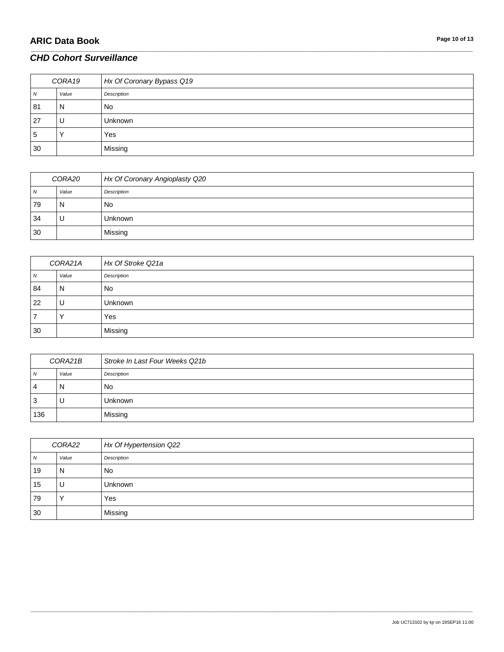# **ARIC Data Book Page 10 of 13**

### *CHD Cohort Surveillance*

| CORA19 |       | Hx Of Coronary Bypass Q19 |
|--------|-------|---------------------------|
| N      | Value | Description               |
| 81     | N     | <b>No</b>                 |
| 27     | υ     | <b>Unknown</b>            |
| 5      |       | Yes                       |
| 30     |       | Missing                   |

\_\_\_\_\_\_\_\_\_\_\_\_\_\_\_\_\_\_\_\_\_\_\_\_\_\_\_\_\_\_\_\_\_\_\_\_\_\_\_\_\_\_\_\_\_\_\_\_\_\_\_\_\_\_\_\_\_\_\_\_\_\_\_\_\_\_\_\_\_\_\_\_\_\_\_\_\_\_\_\_\_\_\_\_\_\_\_\_\_\_\_\_\_\_\_\_\_\_\_\_\_\_\_\_\_\_\_\_\_\_\_\_\_\_\_\_\_\_\_\_\_\_\_\_\_\_\_\_\_\_\_\_\_\_\_\_\_\_\_\_\_\_\_\_\_\_\_\_\_\_\_\_\_\_\_\_\_\_\_\_\_\_\_\_\_\_\_\_\_\_\_\_\_\_\_\_\_\_\_\_\_\_\_\_\_\_\_\_\_\_\_\_\_

| CORA20 |       | Hx Of Coronary Angioplasty Q20 |
|--------|-------|--------------------------------|
| N      | Value | Description                    |
| 79     | N     | No                             |
| 34     | U     | <b>Unknown</b>                 |
| 30     |       | Missing                        |

| CORA21A |       | Hx Of Stroke Q21a |
|---------|-------|-------------------|
| N       | Value | Description       |
| 84      | N     | <b>No</b>         |
| 22      | U     | Unknown           |
|         |       | Yes               |
| 30      |       | Missing           |

| CORA21B |       | Stroke In Last Four Weeks Q21b |
|---------|-------|--------------------------------|
| N       | Value | Description                    |
| 4       | N     | No                             |
| 3       | U     | <b>Unknown</b>                 |
| 136     |       | Missing                        |

| CORA22 |       | Hx Of Hypertension Q22 |
|--------|-------|------------------------|
| N      | Value | Description            |
| 19     | N     | <b>No</b>              |
| 15     | U     | Unknown                |
| 79     |       | Yes                    |
| 30     |       | Missing                |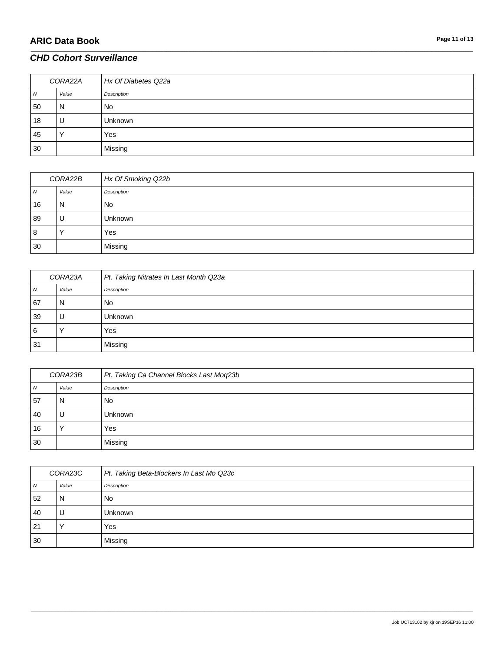| CORA22A |       | Hx Of Diabetes Q22a |
|---------|-------|---------------------|
| N       | Value | Description         |
| 50      | N     | <b>No</b>           |
| 18      | U     | <b>Unknown</b>      |
| 45      |       | Yes                 |
| 30      |       | Missing             |

\_\_\_\_\_\_\_\_\_\_\_\_\_\_\_\_\_\_\_\_\_\_\_\_\_\_\_\_\_\_\_\_\_\_\_\_\_\_\_\_\_\_\_\_\_\_\_\_\_\_\_\_\_\_\_\_\_\_\_\_\_\_\_\_\_\_\_\_\_\_\_\_\_\_\_\_\_\_\_\_\_\_\_\_\_\_\_\_\_\_\_\_\_\_\_\_\_\_\_\_\_\_\_\_\_\_\_\_\_\_\_\_\_\_\_\_\_\_\_\_\_\_\_\_\_\_\_\_\_\_\_\_\_\_\_\_\_\_\_\_\_\_\_\_\_\_\_\_\_\_\_\_\_\_\_\_\_\_\_\_\_\_\_\_\_\_\_\_\_\_\_\_\_\_\_\_\_\_\_\_\_\_\_\_\_\_\_\_\_\_\_\_\_

| CORA22B |       | Hx Of Smoking Q22b |
|---------|-------|--------------------|
| 7V      | Value | Description        |
| 16      | N     | No                 |
| 89      | U     | <b>Unknown</b>     |
| 8       |       | Yes                |
| 30      |       | Missing            |

| CORA23A  |       | Pt. Taking Nitrates In Last Month Q23a |
|----------|-------|----------------------------------------|
| <b>N</b> | Value | Description                            |
| 67       | N     | No                                     |
| 39       | U     | <b>Unknown</b>                         |
| 6        |       | Yes                                    |
| 31       |       | Missing                                |

| CORA23B |       | Pt. Taking Ca Channel Blocks Last Moq23b |
|---------|-------|------------------------------------------|
| N       | Value | Description                              |
| 57      | N     | No                                       |
| 40      |       | Unknown                                  |
| 16      |       | Yes                                      |
| 30      |       | Missing                                  |

| CORA23C |       | Pt. Taking Beta-Blockers In Last Mo Q23c |
|---------|-------|------------------------------------------|
| N       | Value | Description                              |
| 52      | N     | <b>No</b>                                |
| 40      | U     | <b>Unknown</b>                           |
| 21      |       | Yes                                      |
| 30      |       | Missing                                  |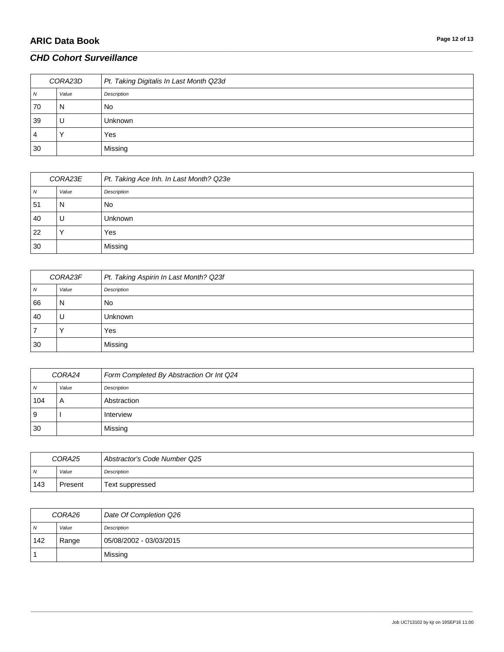# **ARIC Data Book Page 12 of 13**

### *CHD Cohort Surveillance*

| CORA23D      |       | Pt. Taking Digitalis In Last Month Q23d |
|--------------|-------|-----------------------------------------|
| $\mathbf{v}$ | Value | Description                             |
| 70           | N     | No                                      |
| 39           | U     | <b>Unknown</b>                          |
| 4            |       | Yes                                     |
| 30           |       | Missing                                 |

\_\_\_\_\_\_\_\_\_\_\_\_\_\_\_\_\_\_\_\_\_\_\_\_\_\_\_\_\_\_\_\_\_\_\_\_\_\_\_\_\_\_\_\_\_\_\_\_\_\_\_\_\_\_\_\_\_\_\_\_\_\_\_\_\_\_\_\_\_\_\_\_\_\_\_\_\_\_\_\_\_\_\_\_\_\_\_\_\_\_\_\_\_\_\_\_\_\_\_\_\_\_\_\_\_\_\_\_\_\_\_\_\_\_\_\_\_\_\_\_\_\_\_\_\_\_\_\_\_\_\_\_\_\_\_\_\_\_\_\_\_\_\_\_\_\_\_\_\_\_\_\_\_\_\_\_\_\_\_\_\_\_\_\_\_\_\_\_\_\_\_\_\_\_\_\_\_\_\_\_\_\_\_\_\_\_\_\_\_\_\_\_\_

| CORA23E |           | Pt. Taking Ace Inh. In Last Month? Q23e |
|---------|-----------|-----------------------------------------|
| N       | Value     | Description                             |
| 51      | N         | No                                      |
| 40      | U         | <b>Unknown</b>                          |
| 22      | $\lambda$ | Yes                                     |
| 30      |           | Missing                                 |

| CORA23F |       | Pt. Taking Aspirin In Last Month? Q23f |
|---------|-------|----------------------------------------|
| 7V      | Value | Description                            |
| 66      | N     | No                                     |
| 40      | U     | <b>Unknown</b>                         |
|         |       | Yes                                    |
| 30      |       | Missing                                |

| CORA24         |       | Form Completed By Abstraction Or Int Q24 |
|----------------|-------|------------------------------------------|
| N              | Value | Description                              |
| 104            |       | Abstraction                              |
| $\overline{9}$ |       | Interview                                |
| 30             |       | Missing                                  |

| CORA25 |         | Abstractor's Code Number Q25 |
|--------|---------|------------------------------|
| N      | Value   | Description                  |
| 143    | Present | Text suppressed              |

| CORA26         |       | Date Of Completion Q26  |
|----------------|-------|-------------------------|
| $\overline{N}$ | Value | Description             |
| 142            | Range | 05/08/2002 - 03/03/2015 |
|                |       | Missing                 |